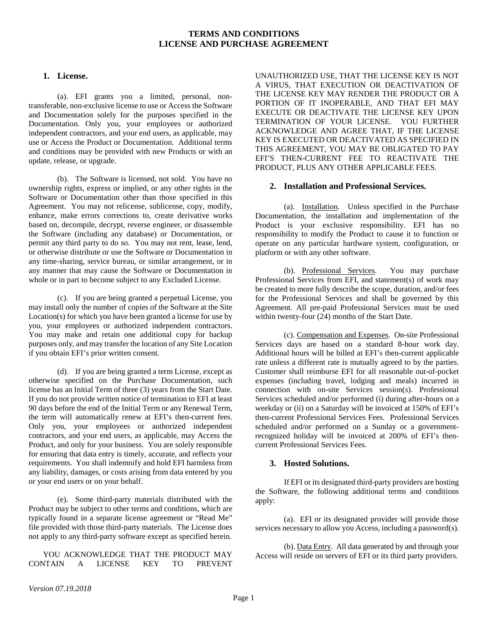## **TERMS AND CONDITIONS LICENSE AND PURCHASE AGREEMENT**

#### **1. License.**

(a). EFI grants you a limited, personal, nontransferable, non-exclusive license to use or Access the Software and Documentation solely for the purposes specified in the Documentation. Only you, your employees or authorized independent contractors, and your end users, as applicable, may use or Access the Product or Documentation. Additional terms and conditions may be provided with new Products or with an update, release, or upgrade.

(b). The Software is licensed, not sold. You have no ownership rights, express or implied, or any other rights in the Software or Documentation other than those specified in this Agreement. You may not relicense, sublicense, copy, modify, enhance, make errors corrections to, create derivative works based on, decompile, decrypt, reverse engineer, or disassemble the Software (including any database) or Documentation, or permit any third party to do so. You may not rent, lease, lend, or otherwise distribute or use the Software or Documentation in any time-sharing, service bureau, or similar arrangement, or in any manner that may cause the Software or Documentation in whole or in part to become subject to any Excluded License.

(c). If you are being granted a perpetual License, you may install only the number of copies of the Software at the Site Location(s) for which you have been granted a license for use by you, your employees or authorized independent contractors. You may make and retain one additional copy for backup purposes only, and may transfer the location of any Site Location if you obtain EFI's prior written consent.

(d). If you are being granted a term License, except as otherwise specified on the Purchase Documentation, such license has an Initial Term of three (3) years from the Start Date. If you do not provide written notice of termination to EFI at least 90 days before the end of the Initial Term or any Renewal Term, the term will automatically renew at EFI's then-current fees. Only you, your employees or authorized independent contractors, and your end users, as applicable, may Access the Product, and only for your business. You are solely responsible for ensuring that data entry is timely, accurate, and reflects your requirements. You shall indemnify and hold EFI harmless from any liability, damages, or costs arising from data entered by you or your end users or on your behalf.

(e). Some third-party materials distributed with the Product may be subject to other terms and conditions, which are typically found in a separate license agreement or "Read Me" file provided with those third-party materials. The License does not apply to any third-party software except as specified herein.

YOU ACKNOWLEDGE THAT THE PRODUCT MAY CONTAIN A LICENSE KEY TO PREVENT

UNAUTHORIZED USE, THAT THE LICENSE KEY IS NOT A VIRUS, THAT EXECUTION OR DEACTIVATION OF THE LICENSE KEY MAY RENDER THE PRODUCT OR A PORTION OF IT INOPERABLE, AND THAT EFI MAY EXECUTE OR DEACTIVATE THE LICENSE KEY UPON TERMINATION OF YOUR LICENSE. YOU FURTHER ACKNOWLEDGE AND AGREE THAT, IF THE LICENSE KEY IS EXECUTED OR DEACTIVATED AS SPECIFIED IN THIS AGREEMENT, YOU MAY BE OBLIGATED TO PAY EFI'S THEN-CURRENT FEE TO REACTIVATE THE PRODUCT, PLUS ANY OTHER APPLICABLE FEES.

### **2. Installation and Professional Services.**

(a). Installation. Unless specified in the Purchase Documentation, the installation and implementation of the Product is your exclusive responsibility. EFI has no responsibility to modify the Product to cause it to function or operate on any particular hardware system, configuration, or platform or with any other software.

(b). Professional Services. You may purchase Professional Services from EFI, and statement(s) of work may be created to more fully describe the scope, duration, and/or fees for the Professional Services and shall be governed by this Agreement. All pre-paid Professional Services must be used within twenty-four (24) months of the Start Date.

(c). Compensation and Expenses. On-site Professional Services days are based on a standard 8-hour work day. Additional hours will be billed at EFI's then-current applicable rate unless a different rate is mutually agreed to by the parties. Customer shall reimburse EFI for all reasonable out-of-pocket expenses (including travel, lodging and meals) incurred in connection with on-site Services session(s). Professional Services scheduled and/or performed (i) during after-hours on a weekday or (ii) on a Saturday will be invoiced at 150% of EFI's then-current Professional Services Fees. Professional Services scheduled and/or performed on a Sunday or a governmentrecognized holiday will be invoiced at 200% of EFI's thencurrent Professional Services Fees.

#### **3. Hosted Solutions.**

If EFI or its designated third-party providers are hosting the Software, the following additional terms and conditions apply:

(a). EFI or its designated provider will provide those services necessary to allow you Access, including a password(s).

(b). Data Entry. All data generated by and through your Access will reside on servers of EFI or its third party providers.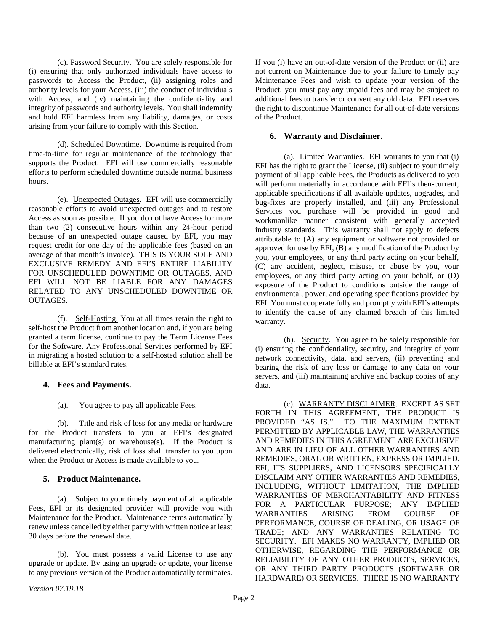(c). Password Security. You are solely responsible for (i) ensuring that only authorized individuals have access to passwords to Access the Product, (ii) assigning roles and authority levels for your Access, (iii) the conduct of individuals with Access, and (iv) maintaining the confidentiality and integrity of passwords and authority levels. You shall indemnify and hold EFI harmless from any liability, damages, or costs arising from your failure to comply with this Section.

(d). Scheduled Downtime. Downtime is required from time-to-time for regular maintenance of the technology that supports the Product. EFI will use commercially reasonable efforts to perform scheduled downtime outside normal business hours.

(e). Unexpected Outages. EFI will use commercially reasonable efforts to avoid unexpected outages and to restore Access as soon as possible. If you do not have Access for more than two (2) consecutive hours within any 24-hour period because of an unexpected outage caused by EFI, you may request credit for one day of the applicable fees (based on an average of that month's invoice). THIS IS YOUR SOLE AND EXCLUSIVE REMEDY AND EFI'S ENTIRE LIABILITY FOR UNSCHEDULED DOWNTIME OR OUTAGES, AND EFI WILL NOT BE LIABLE FOR ANY DAMAGES RELATED TO ANY UNSCHEDULED DOWNTIME OR OUTAGES.

(f). Self-Hosting. You at all times retain the right to self-host the Product from another location and, if you are being granted a term license, continue to pay the Term License Fees for the Software. Any Professional Services performed by EFI in migrating a hosted solution to a self-hosted solution shall be billable at EFI's standard rates.

## **4. Fees and Payments.**

(a). You agree to pay all applicable Fees.

(b). Title and risk of loss for any media or hardware for the Product transfers to you at EFI's designated manufacturing plant(s) or warehouse(s). If the Product is delivered electronically, risk of loss shall transfer to you upon when the Product or Access is made available to you.

## **5. Product Maintenance.**

(a). Subject to your timely payment of all applicable Fees, EFI or its designated provider will provide you with Maintenance for the Product. Maintenance terms automatically renew unless cancelled by either party with written notice at least 30 days before the renewal date.

(b). You must possess a valid License to use any upgrade or update. By using an upgrade or update, your license to any previous version of the Product automatically terminates.

If you (i) have an out-of-date version of the Product or (ii) are not current on Maintenance due to your failure to timely pay Maintenance Fees and wish to update your version of the Product, you must pay any unpaid fees and may be subject to additional fees to transfer or convert any old data. EFI reserves the right to discontinue Maintenance for all out-of-date versions of the Product.

## **6. Warranty and Disclaimer.**

(a). Limited Warranties. EFI warrants to you that (i) EFI has the right to grant the License, (ii) subject to your timely payment of all applicable Fees, the Products as delivered to you will perform materially in accordance with EFI's then-current, applicable specifications if all available updates, upgrades, and bug-fixes are properly installed, and (iii) any Professional Services you purchase will be provided in good and workmanlike manner consistent with generally accepted industry standards. This warranty shall not apply to defects attributable to (A) any equipment or software not provided or approved for use by EFI, (B) any modification of the Product by you, your employees, or any third party acting on your behalf, (C) any accident, neglect, misuse, or abuse by you, your employees, or any third party acting on your behalf, or (D) exposure of the Product to conditions outside the range of environmental, power, and operating specifications provided by EFI. You must cooperate fully and promptly with EFI's attempts to identify the cause of any claimed breach of this limited warranty.

(b). Security. You agree to be solely responsible for (i) ensuring the confidentiality, security, and integrity of your network connectivity, data, and servers, (ii) preventing and bearing the risk of any loss or damage to any data on your servers, and (iii) maintaining archive and backup copies of any data.

(c). WARRANTY DISCLAIMER. EXCEPT AS SET FORTH IN THIS AGREEMENT, THE PRODUCT IS PROVIDED "AS IS." TO THE MAXIMUM EXTENT PERMITTED BY APPLICABLE LAW, THE WARRANTIES AND REMEDIES IN THIS AGREEMENT ARE EXCLUSIVE AND ARE IN LIEU OF ALL OTHER WARRANTIES AND REMEDIES, ORAL OR WRITTEN, EXPRESS OR IMPLIED. EFI, ITS SUPPLIERS, AND LICENSORS SPECIFICALLY DISCLAIM ANY OTHER WARRANTIES AND REMEDIES, INCLUDING, WITHOUT LIMITATION, THE IMPLIED WARRANTIES OF MERCHANTABILITY AND FITNESS FOR A PARTICULAR PURPOSE; ANY IMPLIED WARRANTIES ARISING FROM COURSE OF PERFORMANCE, COURSE OF DEALING, OR USAGE OF TRADE; AND ANY WARRANTIES RELATING TO SECURITY. EFI MAKES NO WARRANTY, IMPLIED OR OTHERWISE, REGARDING THE PERFORMANCE OR RELIABILITY OF ANY OTHER PRODUCTS, SERVICES, OR ANY THIRD PARTY PRODUCTS (SOFTWARE OR HARDWARE) OR SERVICES. THERE IS NO WARRANTY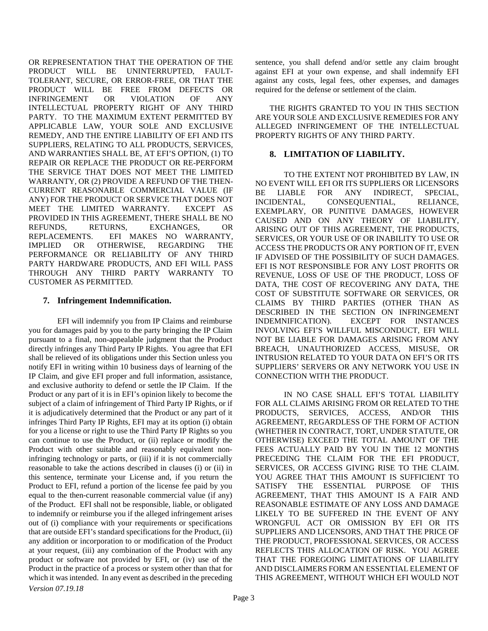OR REPRESENTATION THAT THE OPERATION OF THE PRODUCT WILL BE UNINTERRUPTED, FAULT-TOLERANT, SECURE, OR ERROR-FREE, OR THAT THE PRODUCT WILL BE FREE FROM DEFECTS OR INFRINGEMENT OR VIOLATION OF ANY INTELLECTUAL PROPERTY RIGHT OF ANY THIRD PARTY. TO THE MAXIMUM EXTENT PERMITTED BY APPLICABLE LAW, YOUR SOLE AND EXCLUSIVE REMEDY, AND THE ENTIRE LIABILITY OF EFI AND ITS SUPPLIERS, RELATING TO ALL PRODUCTS, SERVICES, AND WARRANTIES SHALL BE, AT EFI'S OPTION, (1) TO REPAIR OR REPLACE THE PRODUCT OR RE-PERFORM THE SERVICE THAT DOES NOT MEET THE LIMITED WARRANTY, OR (2) PROVIDE A REFUND OF THE THEN-CURRENT REASONABLE COMMERCIAL VALUE (IF ANY) FOR THE PRODUCT OR SERVICE THAT DOES NOT MEET THE LIMITED WARRANTY. EXCEPT AS PROVIDED IN THIS AGREEMENT, THERE SHALL BE NO REFUNDS, RETURNS, EXCHANGES, OR REPLACEMENTS. EFI MAKES NO WARRANTY,<br>IMPLIED OR OTHERWISE, REGARDING THE OR OTHERWISE, REGARDING THE PERFORMANCE OR RELIABILITY OF ANY THIRD PARTY HARDWARE PRODUCTS, AND EFI WILL PASS THROUGH ANY THIRD PARTY WARRANTY TO CUSTOMER AS PERMITTED.

## **7. Infringement Indemnification.**

*Version 07.19.18* EFI will indemnify you from IP Claims and reimburse you for damages paid by you to the party bringing the IP Claim pursuant to a final, non-appealable judgment that the Product directly infringes any Third Party IP Rights. You agree that EFI shall be relieved of its obligations under this Section unless you notify EFI in writing within 10 business days of learning of the IP Claim, and give EFI proper and full information, assistance, and exclusive authority to defend or settle the IP Claim. If the Product or any part of it is in EFI's opinion likely to become the subject of a claim of infringement of Third Party IP Rights, or if it is adjudicatively determined that the Product or any part of it infringes Third Party IP Rights, EFI may at its option (i) obtain for you a license or right to use the Third Party IP Rights so you can continue to use the Product, or (ii) replace or modify the Product with other suitable and reasonably equivalent noninfringing technology or parts, or (iii) if it is not commercially reasonable to take the actions described in clauses (i) or (ii) in this sentence, terminate your License and, if you return the Product to EFI, refund a portion of the license fee paid by you equal to the then-current reasonable commercial value (if any) of the Product. EFI shall not be responsible, liable, or obligated to indemnify or reimburse you if the alleged infringement arises out of (i) compliance with your requirements or specifications that are outside EFI's standard specifications for the Product, (ii) any addition or incorporation to or modification of the Product at your request, (iii) any combination of the Product with any product or software not provided by EFI, or (iv) use of the Product in the practice of a process or system other than that for which it was intended. In any event as described in the preceding

sentence, you shall defend and/or settle any claim brought against EFI at your own expense, and shall indemnify EFI against any costs, legal fees, other expenses, and damages required for the defense or settlement of the claim.

THE RIGHTS GRANTED TO YOU IN THIS SECTION ARE YOUR SOLE AND EXCLUSIVE REMEDIES FOR ANY ALLEGED INFRINGEMENT OF THE INTELLECTUAL PROPERTY RIGHTS OF ANY THIRD PARTY.

## **8. LIMITATION OF LIABILITY.**

TO THE EXTENT NOT PROHIBITED BY LAW, IN NO EVENT WILL EFI OR ITS SUPPLIERS OR LICENSORS BE LIABLE FOR ANY INDIRECT, SPECIAL, INCIDENTAL, CONSEQUENTIAL, RELIANCE, EXEMPLARY, OR PUNITIVE DAMAGES, HOWEVER CAUSED AND ON ANY THEORY OF LIABILITY, ARISING OUT OF THIS AGREEMENT, THE PRODUCTS, SERVICES, OR YOUR USE OF OR INABILITY TO USE OR ACCESS THE PRODUCTS OR ANY PORTION OF IT, EVEN IF ADVISED OF THE POSSIBILITY OF SUCH DAMAGES. EFI IS NOT RESPONSIBLE FOR ANY LOST PROFITS OR REVENUE, LOSS OF USE OF THE PRODUCT, LOSS OF DATA, THE COST OF RECOVERING ANY DATA, THE COST OF SUBSTITUTE SOFTWARE OR SERVICES, OR CLAIMS BY THIRD PARTIES (OTHER THAN AS DESCRIBED IN THE SECTION ON INFRINGEMENT INDEMNIFICATION). EXCEPT FOR INSTANCES INVOLVING EFI'S WILLFUL MISCONDUCT, EFI WILL NOT BE LIABLE FOR DAMAGES ARISING FROM ANY BREACH, UNAUTHORIZED ACCESS, MISUSE, OR INTRUSION RELATED TO YOUR DATA ON EFI'S OR ITS SUPPLIERS' SERVERS OR ANY NETWORK YOU USE IN CONNECTION WITH THE PRODUCT.

IN NO CASE SHALL EFI'S TOTAL LIABILITY FOR ALL CLAIMS ARISING FROM OR RELATED TO THE PRODUCTS, SERVICES, ACCESS, AND/OR THIS AGREEMENT, REGARDLESS OF THE FORM OF ACTION (WHETHER IN CONTRACT, TORT, UNDER STATUTE, OR OTHERWISE) EXCEED THE TOTAL AMOUNT OF THE FEES ACTUALLY PAID BY YOU IN THE 12 MONTHS PRECEDING THE CLAIM FOR THE EFI PRODUCT, SERVICES, OR ACCESS GIVING RISE TO THE CLAIM. YOU AGREE THAT THIS AMOUNT IS SUFFICIENT TO SATISFY THE ESSENTIAL PURPOSE OF THIS AGREEMENT, THAT THIS AMOUNT IS A FAIR AND REASONABLE ESTIMATE OF ANY LOSS AND DAMAGE LIKELY TO BE SUFFERED IN THE EVENT OF ANY WRONGFUL ACT OR OMISSION BY EFI OR ITS SUPPLIERS AND LICENSORS, AND THAT THE PRICE OF THE PRODUCT, PROFESSIONAL SERVICES, OR ACCESS REFLECTS THIS ALLOCATION OF RISK. YOU AGREE THAT THE FOREGOING LIMITATIONS OF LIABILITY AND DISCLAIMERS FORM AN ESSENTIAL ELEMENT OF THIS AGREEMENT, WITHOUT WHICH EFI WOULD NOT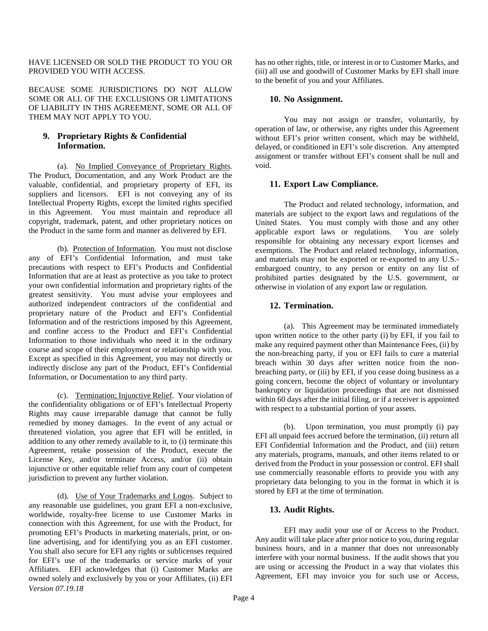HAVE LICENSED OR SOLD THE PRODUCT TO YOU OR PROVIDED YOU WITH ACCESS.

BECAUSE SOME JURISDICTIONS DO NOT ALLOW SOME OR ALL OF THE EXCLUSIONS OR LIMITATIONS OF LIABILITY IN THIS AGREEMENT, SOME OR ALL OF THEM MAY NOT APPLY TO YOU.

## **9. Proprietary Rights & Confidential Information.**

(a). No Implied Conveyance of Proprietary Rights. The Product, Documentation, and any Work Product are the valuable, confidential, and proprietary property of EFI, its suppliers and licensors. EFI is not conveying any of its Intellectual Property Rights, except the limited rights specified in this Agreement. You must maintain and reproduce all copyright, trademark, patent, and other proprietary notices on the Product in the same form and manner as delivered by EFI.

(b). Protection of Information. You must not disclose any of EFI's Confidential Information, and must take precautions with respect to EFI's Products and Confidential Information that are at least as protective as you take to protect your own confidential information and proprietary rights of the greatest sensitivity. You must advise your employees and authorized independent contractors of the confidential and proprietary nature of the Product and EFI's Confidential Information and of the restrictions imposed by this Agreement, and confine access to the Product and EFI's Confidential Information to those individuals who need it in the ordinary course and scope of their employment or relationship with you. Except as specified in this Agreement, you may not directly or indirectly disclose any part of the Product, EFI's Confidential Information, or Documentation to any third party.

(c). Termination; Injunctive Relief. Your violation of the confidentiality obligations or of EFI's Intellectual Property Rights may cause irreparable damage that cannot be fully remedied by money damages. In the event of any actual or threatened violation, you agree that EFI will be entitled, in addition to any other remedy available to it, to (i) terminate this Agreement, retake possession of the Product, execute the License Key, and/or terminate Access, and/or (ii) obtain injunctive or other equitable relief from any court of competent jurisdiction to prevent any further violation.

*Version 07.19.18* (d). Use of Your Trademarks and Logos. Subject to any reasonable use guidelines, you grant EFI a non-exclusive, worldwide, royalty-free license to use Customer Marks in connection with this Agreement, for use with the Product, for promoting EFI's Products in marketing materials, print, or online advertising, and for identifying you as an EFI customer. You shall also secure for EFI any rights or sublicenses required for EFI's use of the trademarks or service marks of your Affiliates. EFI acknowledges that (i) Customer Marks are owned solely and exclusively by you or your Affiliates, (ii) EFI has no other rights, title, or interest in or to Customer Marks, and (iii) all use and goodwill of Customer Marks by EFI shall inure to the benefit of you and your Affiliates.

## **10. No Assignment.**

You may not assign or transfer, voluntarily, by operation of law, or otherwise, any rights under this Agreement without EFI's prior written consent, which may be withheld, delayed, or conditioned in EFI's sole discretion. Any attempted assignment or transfer without EFI's consent shall be null and void.

## **11. Export Law Compliance.**

The Product and related technology, information, and materials are subject to the export laws and regulations of the United States. You must comply with those and any other applicable export laws or regulations. You are solely applicable export laws or regulations. responsible for obtaining any necessary export licenses and exemptions. The Product and related technology, information, and materials may not be exported or re-exported to any U.S. embargoed country, to any person or entity on any list of prohibited parties designated by the U.S. government, or otherwise in violation of any export law or regulation.

## **12. Termination.**

(a). This Agreement may be terminated immediately upon written notice to the other party (i) by EFI, if you fail to make any required payment other than Maintenance Fees, (ii) by the non-breaching party, if you or EFI fails to cure a material breach within 30 days after written notice from the nonbreaching party, or (iii) by EFI, if you cease doing business as a going concern, become the object of voluntary or involuntary bankruptcy or liquidation proceedings that are not dismissed within 60 days after the initial filing, or if a receiver is appointed with respect to a substantial portion of your assets.

(b). Upon termination, you must promptly (i) pay EFI all unpaid fees accrued before the termination, (ii) return all EFI Confidential Information and the Product, and (iii) return any materials, programs, manuals, and other items related to or derived from the Product in your possession or control. EFI shall use commercially reasonable efforts to provide you with any proprietary data belonging to you in the format in which it is stored by EFI at the time of termination.

#### **13. Audit Rights.**

EFI may audit your use of or Access to the Product. Any audit will take place after prior notice to you, during regular business hours, and in a manner that does not unreasonably interfere with your normal business. If the audit shows that you are using or accessing the Product in a way that violates this Agreement, EFI may invoice you for such use or Access,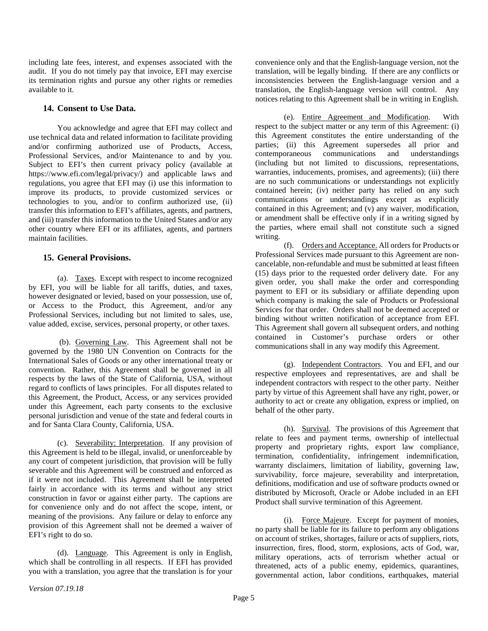including late fees, interest, and expenses associated with the audit. If you do not timely pay that invoice, EFI may exercise its termination rights and pursue any other rights or remedies available to it.

#### **14. Consent to Use Data.**

You acknowledge and agree that EFI may collect and use technical data and related information to facilitate providing and/or confirming authorized use of Products, Access, Professional Services, and/or Maintenance to and by you. Subject to EFI's then current privacy policy (available at https://www.efi.com/legal/privacy/) and applicable laws and regulations, you agree that EFI may (i) use this information to improve its products, to provide customized services or technologies to you, and/or to confirm authorized use, (ii) transfer this information to EFI's affiliates, agents, and partners, and (iii) transfer this information to the United States and/or any other country where EFI or its affiliates, agents, and partners maintain facilities.

## **15. General Provisions.**

(a). Taxes. Except with respect to income recognized by EFI, you will be liable for all tariffs, duties, and taxes, however designated or levied, based on your possession, use of, or Access to the Product, this Agreement, and/or any Professional Services, including but not limited to sales, use, value added, excise, services, personal property, or other taxes.

(b). Governing Law. This Agreement shall not be governed by the 1980 UN Convention on Contracts for the International Sales of Goods or any other international treaty or convention. Rather, this Agreement shall be governed in all respects by the laws of the State of California, USA, without regard to conflicts of laws principles. For all disputes related to this Agreement, the Product, Access, or any services provided under this Agreement, each party consents to the exclusive personal jurisdiction and venue of the state and federal courts in and for Santa Clara County, California, USA.

(c). Severability; Interpretation. If any provision of this Agreement is held to be illegal, invalid, or unenforceable by any court of competent jurisdiction, that provision will be fully severable and this Agreement will be construed and enforced as if it were not included. This Agreement shall be interpreted fairly in accordance with its terms and without any strict construction in favor or against either party. The captions are for convenience only and do not affect the scope, intent, or meaning of the provisions. Any failure or delay to enforce any provision of this Agreement shall not be deemed a waiver of EFI's right to do so.

(d). Language. This Agreement is only in English, which shall be controlling in all respects. If EFI has provided you with a translation, you agree that the translation is for your convenience only and that the English-language version, not the translation, will be legally binding. If there are any conflicts or inconsistencies between the English-language version and a translation, the English-language version will control. Any notices relating to this Agreement shall be in writing in English.

(e). Entire Agreement and Modification. With respect to the subject matter or any term of this Agreement: (i) this Agreement constitutes the entire understanding of the parties; (ii) this Agreement supersedes all prior and contemporaneous communications and understandings (including but not limited to discussions, representations, warranties, inducements, promises, and agreements); (iii) there are no such communications or understandings not explicitly contained herein; (iv) neither party has relied on any such communications or understandings except as explicitly contained in this Agreement; and (v) any waiver, modification, or amendment shall be effective only if in a writing signed by the parties, where email shall not constitute such a signed writing.

(f). Orders and Acceptance. All orders for Products or Professional Services made pursuant to this Agreement are noncancelable, non-refundable and must be submitted at least fifteen (15) days prior to the requested order delivery date. For any given order, you shall make the order and corresponding payment to EFI or its subsidiary or affiliate depending upon which company is making the sale of Products or Professional Services for that order. Orders shall not be deemed accepted or binding without written notification of acceptance from EFI. This Agreement shall govern all subsequent orders, and nothing contained in Customer's purchase orders or other communications shall in any way modify this Agreement.

(g). Independent Contractors. You and EFI, and our respective employees and representatives, are and shall be independent contractors with respect to the other party. Neither party by virtue of this Agreement shall have any right, power, or authority to act or create any obligation, express or implied, on behalf of the other party.

(h). Survival. The provisions of this Agreement that relate to fees and payment terms, ownership of intellectual property and proprietary rights, export law compliance, termination, confidentiality, infringement indemnification, warranty disclaimers, limitation of liability, governing law, survivability, force majeure, severability and interpretation, definitions, modification and use of software products owned or distributed by Microsoft, Oracle or Adobe included in an EFI Product shall survive termination of this Agreement.

(i). Force Majeure. Except for payment of monies, no party shall be liable for its failure to perform any obligations on account of strikes, shortages, failure or acts of suppliers, riots, insurrection, fires, flood, storm, explosions, acts of God, war, military operations, acts of terrorism whether actual or threatened, acts of a public enemy, epidemics, quarantines, governmental action, labor conditions, earthquakes, material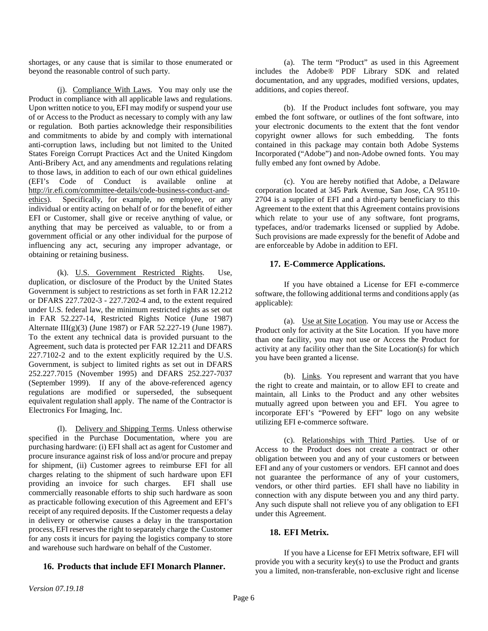shortages, or any cause that is similar to those enumerated or beyond the reasonable control of such party.

(j). Compliance With Laws. You may only use the Product in compliance with all applicable laws and regulations. Upon written notice to you, EFI may modify or suspend your use of or Access to the Product as necessary to comply with any law or regulation. Both parties acknowledge their responsibilities and commitments to abide by and comply with international anti-corruption laws, including but not limited to the United States Foreign Corrupt Practices Act and the United Kingdom Anti-Bribery Act, and any amendments and regulations relating to those laws, in addition to each of our own ethical guidelines (EFI's Code of Conduct is available online at [http://ir.efi.com/committee-details/code-business-conduct-and](http://ir.efi.com/committee-details/code-business-conduct-and-ethics)[ethics\)](http://ir.efi.com/committee-details/code-business-conduct-and-ethics). Specifically, for example, no employee, or any individual or entity acting on behalf of or for the benefit of either EFI or Customer, shall give or receive anything of value, or anything that may be perceived as valuable, to or from a government official or any other individual for the purpose of influencing any act, securing any improper advantage, or obtaining or retaining business.

(k). U.S. Government Restricted Rights. Use, duplication, or disclosure of the Product by the United States Government is subject to restrictions as set forth in FAR 12.212 or DFARS 227.7202-3 - 227.7202-4 and, to the extent required under U.S. federal law, the minimum restricted rights as set out in FAR 52.227-14, Restricted Rights Notice (June 1987) Alternate III(g)(3) (June 1987) or FAR 52.227-19 (June 1987). To the extent any technical data is provided pursuant to the Agreement, such data is protected per FAR 12.211 and DFARS 227.7102-2 and to the extent explicitly required by the U.S. Government, is subject to limited rights as set out in DFARS 252.227.7015 (November 1995) and DFARS 252.227-7037 (September 1999). If any of the above-referenced agency regulations are modified or superseded, the subsequent equivalent regulation shall apply. The name of the Contractor is Electronics For Imaging, Inc.

(l). Delivery and Shipping Terms. Unless otherwise specified in the Purchase Documentation, where you are purchasing hardware: (i) EFI shall act as agent for Customer and procure insurance against risk of loss and/or procure and prepay for shipment, (ii) Customer agrees to reimburse EFI for all charges relating to the shipment of such hardware upon EFI providing an invoice for such charges. EFI shall use commercially reasonable efforts to ship such hardware as soon as practicable following execution of this Agreement and EFI's receipt of any required deposits. If the Customer requests a delay in delivery or otherwise causes a delay in the transportation process, EFI reserves the right to separately charge the Customer for any costs it incurs for paying the logistics company to store and warehouse such hardware on behalf of the Customer.

## **16. Products that include EFI Monarch Planner.**

(a). The term "Product" as used in this Agreement includes the Adobe® PDF Library SDK and related documentation, and any upgrades, modified versions, updates, additions, and copies thereof.

(b). If the Product includes font software, you may embed the font software, or outlines of the font software, into your electronic documents to the extent that the font vendor copyright owner allows for such embedding. The fonts contained in this package may contain both Adobe Systems Incorporated ("Adobe") and non-Adobe owned fonts. You may fully embed any font owned by Adobe.

(c). You are hereby notified that Adobe, a Delaware corporation located at 345 Park Avenue, San Jose, CA 95110- 2704 is a supplier of EFI and a third-party beneficiary to this Agreement to the extent that this Agreement contains provisions which relate to your use of any software, font programs, typefaces, and/or trademarks licensed or supplied by Adobe. Such provisions are made expressly for the benefit of Adobe and are enforceable by Adobe in addition to EFI.

## **17. E-Commerce Applications.**

If you have obtained a License for EFI e-commerce software, the following additional terms and conditions apply (as applicable):

(a). Use at Site Location. You may use or Access the Product only for activity at the Site Location. If you have more than one facility, you may not use or Access the Product for activity at any facility other than the Site Location(s) for which you have been granted a license.

(b). Links. You represent and warrant that you have the right to create and maintain, or to allow EFI to create and maintain, all Links to the Product and any other websites mutually agreed upon between you and EFI. You agree to incorporate EFI's "Powered by EFI" logo on any website utilizing EFI e-commerce software.

(c). Relationships with Third Parties. Use of or Access to the Product does not create a contract or other obligation between you and any of your customers or between EFI and any of your customers or vendors. EFI cannot and does not guarantee the performance of any of your customers, vendors, or other third parties. EFI shall have no liability in connection with any dispute between you and any third party. Any such dispute shall not relieve you of any obligation to EFI under this Agreement.

# **18. EFI Metrix.**

If you have a License for EFI Metrix software, EFI will provide you with a security key(s) to use the Product and grants you a limited, non-transferable, non-exclusive right and license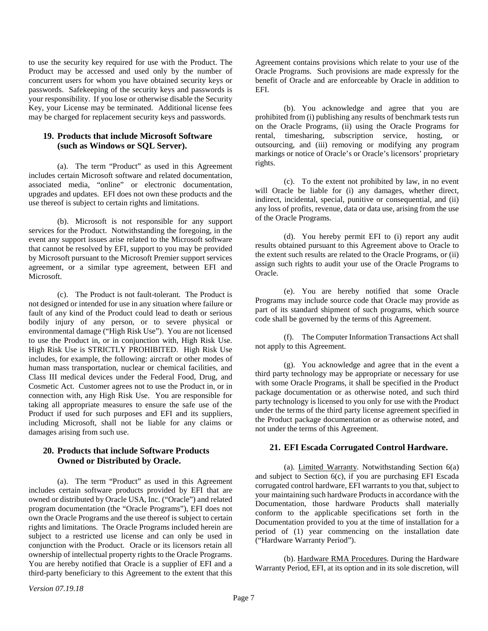to use the security key required for use with the Product. The Product may be accessed and used only by the number of concurrent users for whom you have obtained security keys or passwords. Safekeeping of the security keys and passwords is your responsibility. If you lose or otherwise disable the Security Key, your License may be terminated. Additional license fees may be charged for replacement security keys and passwords.

## **19. Products that include Microsoft Software (such as Windows or SQL Server).**

(a). The term "Product" as used in this Agreement includes certain Microsoft software and related documentation, associated media, "online" or electronic documentation, upgrades and updates. EFI does not own these products and the use thereof is subject to certain rights and limitations.

(b). Microsoft is not responsible for any support services for the Product. Notwithstanding the foregoing, in the event any support issues arise related to the Microsoft software that cannot be resolved by EFI, support to you may be provided by Microsoft pursuant to the Microsoft Premier support services agreement, or a similar type agreement, between EFI and Microsoft.

(c). The Product is not fault-tolerant. The Product is not designed or intended for use in any situation where failure or fault of any kind of the Product could lead to death or serious bodily injury of any person, or to severe physical or environmental damage ("High Risk Use"). You are not licensed to use the Product in, or in conjunction with, High Risk Use. High Risk Use is STRICTLY PROHIBITED. High Risk Use includes, for example, the following: aircraft or other modes of human mass transportation, nuclear or chemical facilities, and Class III medical devices under the Federal Food, Drug, and Cosmetic Act. Customer agrees not to use the Product in, or in connection with, any High Risk Use. You are responsible for taking all appropriate measures to ensure the safe use of the Product if used for such purposes and EFI and its suppliers, including Microsoft, shall not be liable for any claims or damages arising from such use.

## **20. Products that include Software Products Owned or Distributed by Oracle.**

(a). The term "Product" as used in this Agreement includes certain software products provided by EFI that are owned or distributed by Oracle USA, Inc. ("Oracle") and related program documentation (the "Oracle Programs"), EFI does not own the Oracle Programs and the use thereof is subject to certain rights and limitations. The Oracle Programs included herein are subject to a restricted use license and can only be used in conjunction with the Product. Oracle or its licensors retain all ownership of intellectual property rights to the Oracle Programs. You are hereby notified that Oracle is a supplier of EFI and a third-party beneficiary to this Agreement to the extent that this

Agreement contains provisions which relate to your use of the Oracle Programs. Such provisions are made expressly for the benefit of Oracle and are enforceable by Oracle in addition to EFI.

(b). You acknowledge and agree that you are prohibited from (i) publishing any results of benchmark tests run on the Oracle Programs, (ii) using the Oracle Programs for rental, timesharing, subscription service, hosting, or outsourcing, and (iii) removing or modifying any program markings or notice of Oracle's or Oracle's licensors' proprietary rights.

(c). To the extent not prohibited by law, in no event will Oracle be liable for (i) any damages, whether direct, indirect, incidental, special, punitive or consequential, and (ii) any loss of profits, revenue, data or data use, arising from the use of the Oracle Programs.

(d). You hereby permit EFI to (i) report any audit results obtained pursuant to this Agreement above to Oracle to the extent such results are related to the Oracle Programs, or (ii) assign such rights to audit your use of the Oracle Programs to Oracle.

(e). You are hereby notified that some Oracle Programs may include source code that Oracle may provide as part of its standard shipment of such programs, which source code shall be governed by the terms of this Agreement.

(f). The Computer Information Transactions Act shall not apply to this Agreement.

(g). You acknowledge and agree that in the event a third party technology may be appropriate or necessary for use with some Oracle Programs, it shall be specified in the Product package documentation or as otherwise noted, and such third party technology is licensed to you only for use with the Product under the terms of the third party license agreement specified in the Product package documentation or as otherwise noted, and not under the terms of this Agreement.

## **21. EFI Escada Corrugated Control Hardware.**

(a). Limited Warranty. Notwithstanding Section 6(a) and subject to Section 6(c), if you are purchasing EFI Escada corrugated control hardware, EFI warrants to you that, subject to your maintaining such hardware Products in accordance with the Documentation, those hardware Products shall materially conform to the applicable specifications set forth in the Documentation provided to you at the time of installation for a period of (1) year commencing on the installation date ("Hardware Warranty Period").

(b). Hardware RMA Procedures. During the Hardware Warranty Period, EFI, at its option and in its sole discretion, will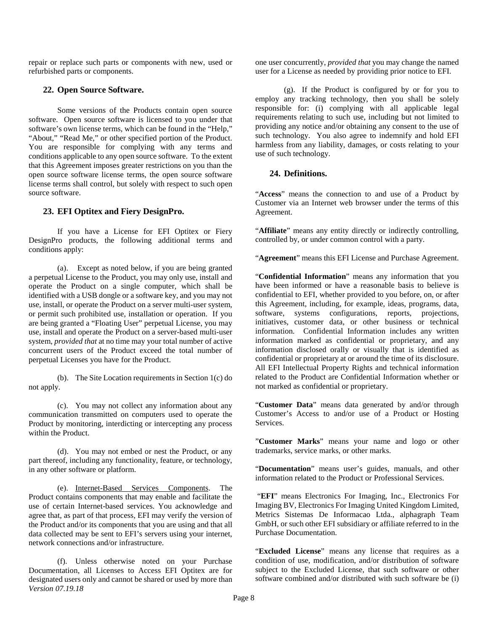repair or replace such parts or components with new, used or refurbished parts or components.

### **22. Open Source Software.**

Some versions of the Products contain open source software. Open source software is licensed to you under that software's own license terms, which can be found in the "Help," "About," "Read Me," or other specified portion of the Product. You are responsible for complying with any terms and conditions applicable to any open source software. To the extent that this Agreement imposes greater restrictions on you than the open source software license terms, the open source software license terms shall control, but solely with respect to such open source software.

## **23. EFI Optitex and Fiery DesignPro.**

If you have a License for EFI Optitex or Fiery DesignPro products, the following additional terms and conditions apply:

(a). Except as noted below, if you are being granted a perpetual License to the Product, you may only use, install and operate the Product on a single computer, which shall be identified with a USB dongle or a software key, and you may not use, install, or operate the Product on a server multi-user system, or permit such prohibited use, installation or operation. If you are being granted a "Floating User" perpetual License, you may use, install and operate the Product on a server-based multi-user system, *provided that* at no time may your total number of active concurrent users of the Product exceed the total number of perpetual Licenses you have for the Product.

(b). The Site Location requirements in Section 1(c) do not apply.

(c). You may not collect any information about any communication transmitted on computers used to operate the Product by monitoring, interdicting or intercepting any process within the Product.

(d). You may not embed or nest the Product, or any part thereof, including any functionality, feature, or technology, in any other software or platform.

(e). Internet-Based Services Components. The Product contains components that may enable and facilitate the use of certain Internet-based services. You acknowledge and agree that, as part of that process, EFI may verify the version of the Product and/or its components that you are using and that all data collected may be sent to EFI's servers using your internet, network connections and/or infrastructure.

*Version 07.19.18* (f). Unless otherwise noted on your Purchase Documentation, all Licenses to Access EFI Optitex are for designated users only and cannot be shared or used by more than one user concurrently, *provided that* you may change the named user for a License as needed by providing prior notice to EFI.

(g). If the Product is configured by or for you to employ any tracking technology, then you shall be solely responsible for: (i) complying with all applicable legal requirements relating to such use, including but not limited to providing any notice and/or obtaining any consent to the use of such technology. You also agree to indemnify and hold EFI harmless from any liability, damages, or costs relating to your use of such technology.

## **24. Definitions.**

"**Access**" means the connection to and use of a Product by Customer via an Internet web browser under the terms of this Agreement.

"**Affiliate**" means any entity directly or indirectly controlling, controlled by, or under common control with a party.

"**Agreement**" means this EFI License and Purchase Agreement.

"**Confidential Information**" means any information that you have been informed or have a reasonable basis to believe is confidential to EFI, whether provided to you before, on, or after this Agreement, including, for example, ideas, programs, data, software, systems configurations, reports, projections, initiatives, customer data, or other business or technical information. Confidential Information includes any written information marked as confidential or proprietary, and any information disclosed orally or visually that is identified as confidential or proprietary at or around the time of its disclosure. All EFI Intellectual Property Rights and technical information related to the Product are Confidential Information whether or not marked as confidential or proprietary.

"**Customer Data**" means data generated by and/or through Customer's Access to and/or use of a Product or Hosting Services.

"**Customer Marks**" means your name and logo or other trademarks, service marks, or other marks.

"**Documentation**" means user's guides, manuals, and other information related to the Product or Professional Services.

"**EFI**" means Electronics For Imaging, Inc., Electronics For Imaging BV, Electronics For Imaging United Kingdom Limited, Metrics Sistemas De Informacao Ltda., alphagraph Team GmbH, or such other EFI subsidiary or affiliate referred to in the Purchase Documentation.

"**Excluded License**" means any license that requires as a condition of use, modification, and/or distribution of software subject to the Excluded License, that such software or other software combined and/or distributed with such software be (i)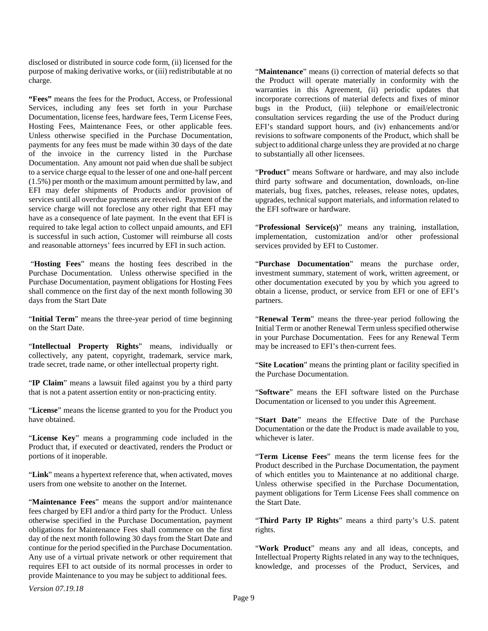disclosed or distributed in source code form, (ii) licensed for the purpose of making derivative works, or (iii) redistributable at no charge.

**"Fees"** means the fees for the Product, Access, or Professional Services, including any fees set forth in your Purchase Documentation, license fees, hardware fees, Term License Fees, Hosting Fees, Maintenance Fees, or other applicable fees. Unless otherwise specified in the Purchase Documentation, payments for any fees must be made within 30 days of the date of the invoice in the currency listed in the Purchase Documentation. Any amount not paid when due shall be subject to a service charge equal to the lesser of one and one-half percent (1.5%) per month or the maximum amount permitted by law, and EFI may defer shipments of Products and/or provision of services until all overdue payments are received. Payment of the service charge will not foreclose any other right that EFI may have as a consequence of late payment. In the event that EFI is required to take legal action to collect unpaid amounts, and EFI is successful in such action, Customer will reimburse all costs and reasonable attorneys' fees incurred by EFI in such action.

"**Hosting Fees**" means the hosting fees described in the Purchase Documentation. Unless otherwise specified in the Purchase Documentation, payment obligations for Hosting Fees shall commence on the first day of the next month following 30 days from the Start Date

"**Initial Term**" means the three-year period of time beginning on the Start Date.

"**Intellectual Property Rights**" means, individually or collectively, any patent, copyright, trademark, service mark, trade secret, trade name, or other intellectual property right.

"**IP Claim**" means a lawsuit filed against you by a third party that is not a patent assertion entity or non-practicing entity.

"**License**" means the license granted to you for the Product you have obtained.

"**License Key**" means a programming code included in the Product that, if executed or deactivated, renders the Product or portions of it inoperable.

"**Link**" means a hypertext reference that, when activated, moves users from one website to another on the Internet.

"**Maintenance Fees**" means the support and/or maintenance fees charged by EFI and/or a third party for the Product. Unless otherwise specified in the Purchase Documentation, payment obligations for Maintenance Fees shall commence on the first day of the next month following 30 days from the Start Date and continue for the period specified in the Purchase Documentation. Any use of a virtual private network or other requirement that requires EFI to act outside of its normal processes in order to provide Maintenance to you may be subject to additional fees.

"**Maintenance**" means (i) correction of material defects so that the Product will operate materially in conformity with the warranties in this Agreement, (ii) periodic updates that incorporate corrections of material defects and fixes of minor bugs in the Product, (iii) telephone or email/electronic consultation services regarding the use of the Product during EFI's standard support hours, and (iv) enhancements and/or revisions to software components of the Product, which shall be subject to additional charge unless they are provided at no charge to substantially all other licensees.

"**Product**" means Software or hardware, and may also include third party software and documentation, downloads, on-line materials, bug fixes, patches, releases, release notes, updates, upgrades, technical support materials, and information related to the EFI software or hardware.

"**Professional Service(s)**" means any training, installation, implementation, customization and/or other professional services provided by EFI to Customer.

"**Purchase Documentation**" means the purchase order, investment summary, statement of work, written agreement, or other documentation executed by you by which you agreed to obtain a license, product, or service from EFI or one of EFI's partners.

"**Renewal Term**" means the three-year period following the Initial Term or another Renewal Term unless specified otherwise in your Purchase Documentation. Fees for any Renewal Term may be increased to EFI's then-current fees.

"**Site Location**" means the printing plant or facility specified in the Purchase Documentation.

"**Software**" means the EFI software listed on the Purchase Documentation or licensed to you under this Agreement.

"**Start Date**" means the Effective Date of the Purchase Documentation or the date the Product is made available to you, whichever is later.

"**Term License Fees**" means the term license fees for the Product described in the Purchase Documentation, the payment of which entitles you to Maintenance at no additional charge. Unless otherwise specified in the Purchase Documentation, payment obligations for Term License Fees shall commence on the Start Date.

"**Third Party IP Rights**" means a third party's U.S. patent rights.

"Work Product" means any and all ideas, concepts, and Intellectual Property Rights related in any way to the techniques, knowledge, and processes of the Product, Services, and